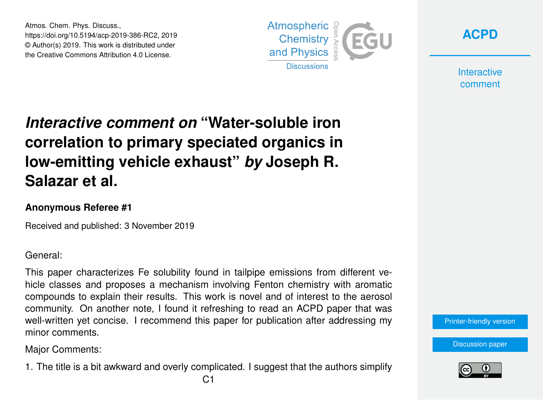Atmos. Chem. Phys. Discuss., https://doi.org/10.5194/acp-2019-386-RC2, 2019 © Author(s) 2019. This work is distributed under the Creative Commons Attribution 4.0 License.





**Interactive** comment

## *Interactive comment on* **"Water-soluble iron correlation to primary speciated organics in low-emitting vehicle exhaust"** *by* **Joseph R. Salazar et al.**

## **Anonymous Referee #1**

Received and published: 3 November 2019

General:

This paper characterizes Fe solubility found in tailpipe emissions from different vehicle classes and proposes a mechanism involving Fenton chemistry with aromatic compounds to explain their results. This work is novel and of interest to the aerosol community. On another note, I found it refreshing to read an ACPD paper that was well-written yet concise. I recommend this paper for publication after addressing my minor comments.

Major Comments:

1. The title is a bit awkward and overly complicated. I suggest that the authors simplify



[Discussion paper](https://www.atmos-chem-phys-discuss.net/acp-2019-386)

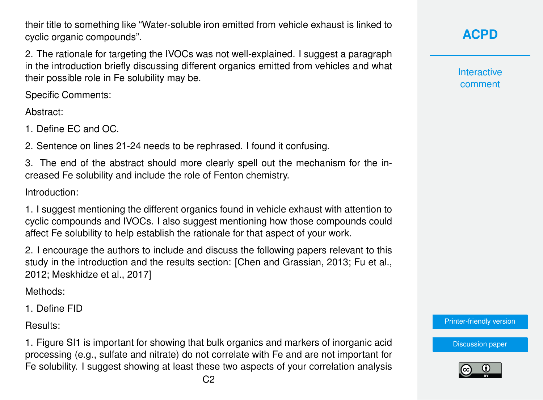their title to something like "Water-soluble iron emitted from vehicle exhaust is linked to cyclic organic compounds".

2. The rationale for targeting the IVOCs was not well-explained. I suggest a paragraph in the introduction briefly discussing different organics emitted from vehicles and what their possible role in Fe solubility may be.

Specific Comments:

Abstract:

1. Define EC and OC.

2. Sentence on lines 21-24 needs to be rephrased. I found it confusing.

3. The end of the abstract should more clearly spell out the mechanism for the increased Fe solubility and include the role of Fenton chemistry.

Introduction:

1. I suggest mentioning the different organics found in vehicle exhaust with attention to cyclic compounds and IVOCs. I also suggest mentioning how those compounds could affect Fe solubility to help establish the rationale for that aspect of your work.

2. I encourage the authors to include and discuss the following papers relevant to this study in the introduction and the results section: [Chen and Grassian, 2013; Fu et al., 2012; Meskhidze et al., 2017]

Methods:

1. Define FID

Results:

1. Figure SI1 is important for showing that bulk organics and markers of inorganic acid processing (e.g., sulfate and nitrate) do not correlate with Fe and are not important for Fe solubility. I suggest showing at least these two aspects of your correlation analysis **[ACPD](https://www.atmos-chem-phys-discuss.net/)**

**Interactive** comment

[Printer-friendly version](https://www.atmos-chem-phys-discuss.net/acp-2019-386/acp-2019-386-RC2-print.pdf)

[Discussion paper](https://www.atmos-chem-phys-discuss.net/acp-2019-386)